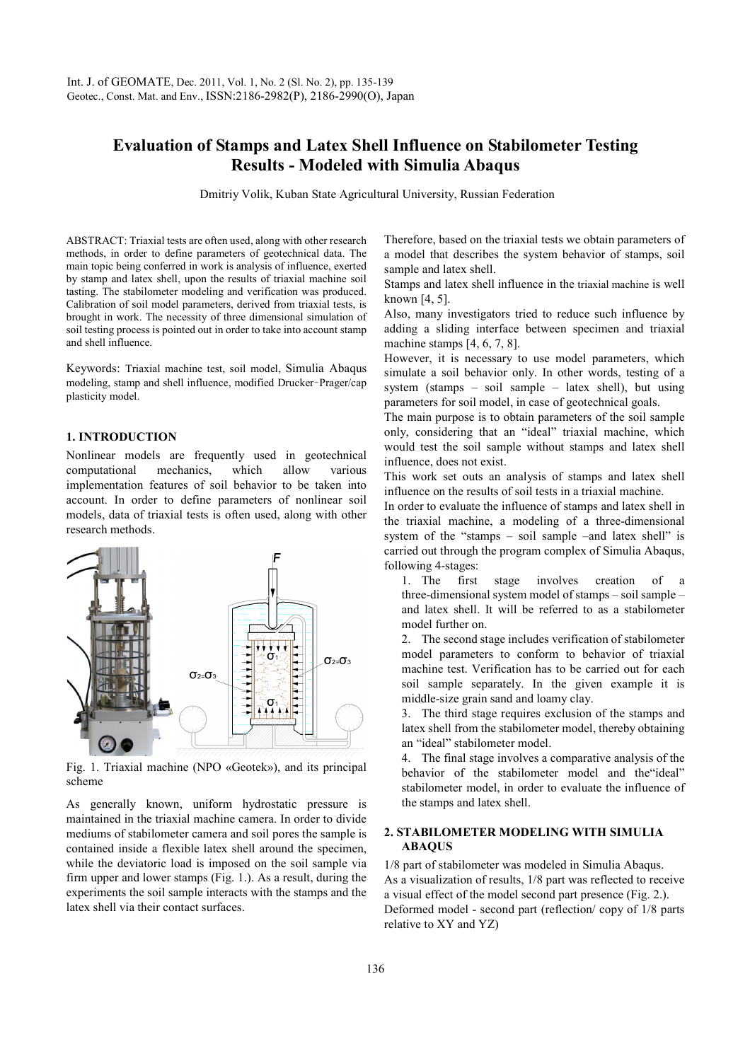# **Evaluation of Stamps and Latex Shell Influence on Stabilometer Testing Results - Modeled with Simulia Abaqus**

Dmitriy Volik, Kuban State Agricultural University, Russian Federation

ABSTRACT: Triaxial tests are often used, along with other research methods, in order to define parameters of geotechnical data. The main topic being conferred in work is analysis of influence, exerted by stamp and latex shell, upon the results of triaxial machine soil tasting. The stabilometer modeling and verification was produced. Calibration of soil model parameters, derived from triaxial tests, is brought in work. The necessity of three dimensional simulation of soil testing process is pointed out in order to take into account stamp and shell influence.

Keywords: Triaxial machine test, soil model, Simulia Abaqus modeling, stamp and shell influence, modified Drucker–Prager/cap plasticity model.

#### **1. INTRODUCTION**

Nonlinear models are frequently used in geotechnical computational mechanics, which allow various implementation features of soil behavior to be taken into account. In order to define parameters of nonlinear soil models, data of triaxial tests is often used, along with other research methods.



Fig. 1. Triaxial machine (NPO «Geotek»), and its principal scheme

As generally known, uniform hydrostatic pressure is maintained in the triaxial machine camera. In order to divide mediums of stabilometer camera and soil pores the sample is contained inside a flexible latex shell around the specimen, while the deviatoric load is imposed on the soil sample via firm upper and lower stamps (Fig. 1.). As a result, during the experiments the soil sample interacts with the stamps and the latex shell via their contact surfaces.

Therefore, based on the triaxial tests we obtain parameters of a model that describes the system behavior of stamps, soil sample and latex shell.

Stamps and latex shell influence in the triaxial machine is well known [4, 5].

Also, many investigators tried to reduce such influence by adding a sliding interface between specimen and triaxial machine stamps [4, 6, 7, 8].

However, it is necessary to use model parameters, which simulate a soil behavior only. In other words, testing of a system (stamps – soil sample – latex shell), but using parameters for soil model, in case of geotechnical goals.

The main purpose is to obtain parameters of the soil sample only, considering that an "ideal" triaxial machine, which would test the soil sample without stamps and latex shell influence, does not exist.

This work set outs an analysis of stamps and latex shell influence on the results of soil tests in a triaxial machine.

In order to evaluate the influence of stamps and latex shell in the triaxial machine, a modeling of a three-dimensional system of the "stamps – soil sample –and latex shell" is carried out through the program complex of Simulia Abaqus, following 4-stages:

1. The first stage involves creation of three-dimensional system model of stamps – soil sample – and latex shell. It will be referred to as a stabilometer model further on.

2. The second stage includes verification of stabilometer model parameters to conform to behavior of triaxial machine test. Verification has to be carried out for each soil sample separately. In the given example it is middle-size grain sand and loamy clay.

3. The third stage requires exclusion of the stamps and latex shell from the stabilometer model, thereby obtaining an "ideal" stabilometer model.

4. The final stage involves a comparative analysis of the behavior of the stabilometer model and the"ideal" stabilometer model, in order to evaluate the influence of the stamps and latex shell.

#### **2. STABILOMETER MODELING WITH SIMULIA ABAQUS**

1/8 part of stabilometer was modeled in Simulia Abaqus. As a visualization of results, 1/8 part was reflected to receive a visual effect of the model second part presence (Fig. 2.). Deformed model - second part (reflection/ copy of 1/8 parts relative to XY and YZ)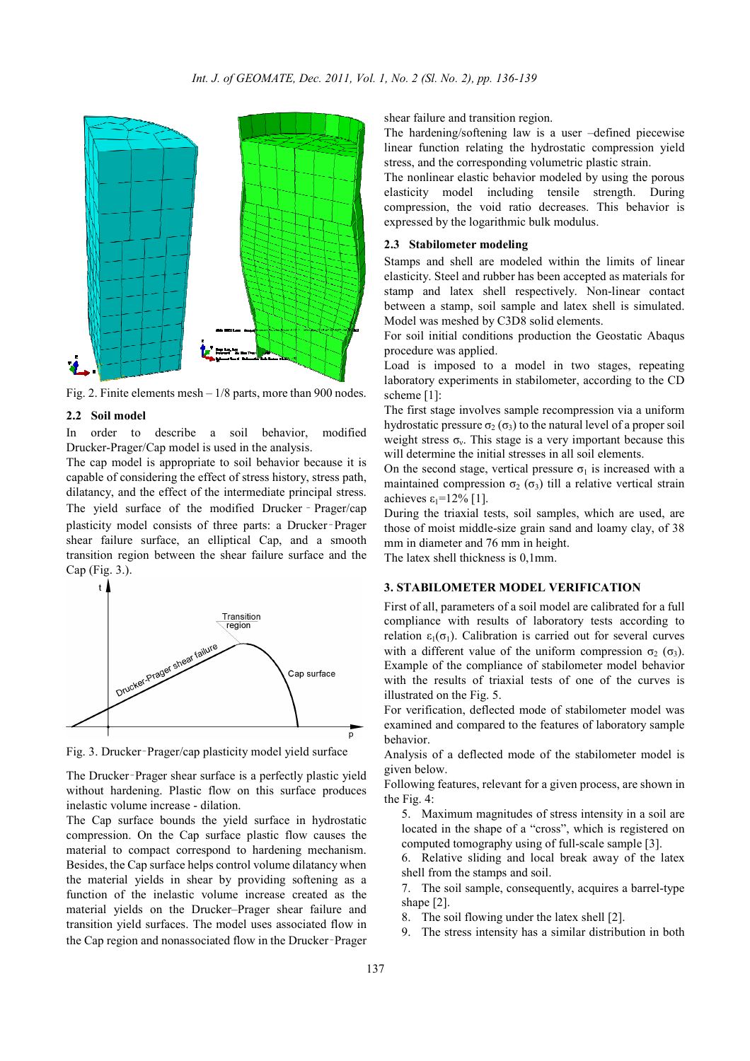

Fig. 2. Finite elements mesh – 1/8 parts, more than 900 nodes.

#### **2.2 Soil model**

In order to describe a soil behavior modified Drucker-Prager/Cap model is used in the analysis.

The cap model is appropriate to soil behavior because it is capable of considering the effect of stress history, stress path, dilatancy, and the effect of the intermediate principal stress. The yield surface of the modified Drucker – Prager/cap plasticity model consists of three parts: a Drucker–Prager shear failure surface, an elliptical Cap, and a smooth transition region between the shear failure surface and the Cap (Fig. 3.).



Fig. 3. Drucker–Prager/cap plasticity model yield surface

The Drucker–Prager shear surface is a perfectly plastic yield without hardening. Plastic flow on this surface produces inelastic volume increase - dilation.

The Cap surface bounds the yield surface in hydrostatic compression. On the Cap surface plastic flow causes the material to compact correspond to hardening mechanism. Besides, the Cap surface helps control volume dilatancy when the material yields in shear by providing softening as a function of the inelastic volume increase created as the material yields on the Drucker–Prager shear failure and transition yield surfaces. The model uses associated flow in the Cap region and nonassociated flow in the Drucker–Prager

shear failure and transition region.

The hardening/softening law is a user –defined piecewise linear function relating the hydrostatic compression yield stress, and the corresponding volumetric plastic strain.

The nonlinear elastic behavior modeled by using the porous elasticity model including tensile strength. During compression, the void ratio decreases. This behavior is expressed by the logarithmic bulk modulus.

## **2.3 Stabilometer modeling**

Stamps and shell are modeled within the limits of linear elasticity. Steel and rubber has been accepted as materials for stamp and latex shell respectively. Non-linear contact between a stamp, soil sample and latex shell is simulated. Model was meshed by C3D8 solid elements.

For soil initial conditions production the Geostatic Abaqus procedure was applied.

Load is imposed to a model in two stages, repeating laboratory experiments in stabilometer, according to the CD scheme [1]:

The first stage involves sample recompression via a uniform hydrostatic pressure  $\sigma_2(\sigma_3)$  to the natural level of a proper soil weight stress  $\sigma_{v}$ . This stage is a very important because this will determine the initial stresses in all soil elements.

On the second stage, vertical pressure  $\sigma_1$  is increased with a maintained compression  $\sigma_2$  ( $\sigma_3$ ) till a relative vertical strain achieves  $\varepsilon_1$ =12% [1].

During the triaxial tests, soil samples, which are used, are those of moist middle-size grain sand and loamy clay, of 38 mm in diameter and 76 mm in height.

The latex shell thickness is 0,1mm.

## **3. STABILOMETER MODEL VERIFICATION**

First of all, parameters of a soil model are calibrated for a full compliance with results of laboratory tests according to relation  $\varepsilon_1(\sigma_1)$ . Calibration is carried out for several curves with a different value of the uniform compression  $\sigma_2$  ( $\sigma_3$ ). Example of the compliance of stabilometer model behavior with the results of triaxial tests of one of the curves is illustrated on the Fig. 5.

For verification, deflected mode of stabilometer model was examined and compared to the features of laboratory sample behavior.

Analysis of a deflected mode of the stabilometer model is given below.

Following features, relevant for a given process, are shown in the Fig. 4:

5. Maximum magnitudes of stress intensity in a soil are located in the shape of a "cross", which is registered on computed tomography using of full-scale sample [3].

6. Relative sliding and local break away of the latex shell from the stamps and soil.

7. The soil sample, consequently, acquires a barrel-type shape [2].

8. The soil flowing under the latex shell [2].

9. The stress intensity has a similar distribution in both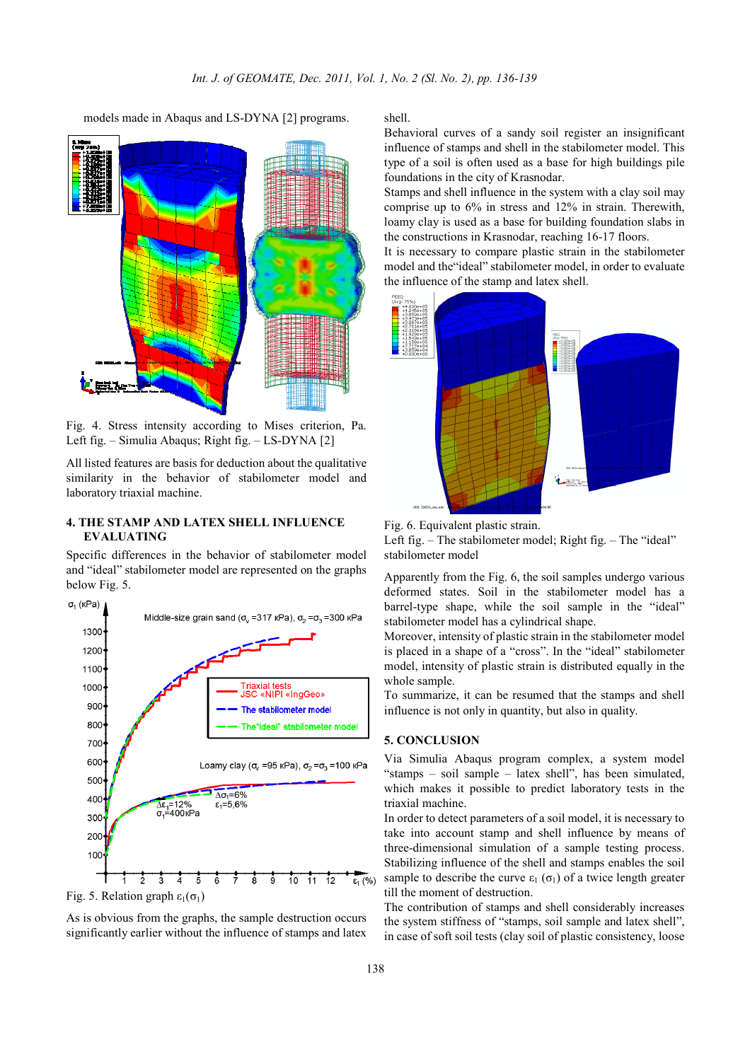models made in Abaqus and LS-DYNA [2] programs.



Fig. 4. Stress intensity according to Mises criterion, Pa. Left fig. – Simulia Abaqus; Right fig. – LS-DYNA [2]

All listed features are basis for deduction about the qualitative similarity in the behavior of stabilometer model and laboratory triaxial machine.

# **4. THE STAMP AND LATEX SHELL INFLUENCE EVALUATING**

Specific differences in the behavior of stabilometer model and "ideal" stabilometer model are represented on the graphs below Fig. 5.



Fig. 5. Relation graph  $\varepsilon_1(\sigma_1)$ 

As is obvious from the graphs, the sample destruction occurs significantly earlier without the influence of stamps and latex shell.

Behavioral curves of a sandy soil register an insignificant influence of stamps and shell in the stabilometer model. This type of a soil is often used as a base for high buildings pile foundations in the city of Krasnodar.

Stamps and shell influence in the system with a clay soil may comprise up to 6% in stress and 12% in strain. Therewith, loamy clay is used as a base for building foundation slabs in the constructions in Krasnodar, reaching 16-17 floors.

It is necessary to compare plastic strain in the stabilometer model and the"ideal" stabilometer model, in order to evaluate the influence of the stamp and latex shell.



Fig. 6. Equivalent plastic strain.

Left fig. – The stabilometer model; Right fig. – The "ideal" stabilometer model

Apparently from the Fig. 6, the soil samples undergo various deformed states. Soil in the stabilometer model has a barrel-type shape, while the soil sample in the "ideal" stabilometer model has a cylindrical shape.

Moreover, intensity of plastic strain in the stabilometer model is placed in a shape of a "cross". In the "ideal" stabilometer model, intensity of plastic strain is distributed equally in the whole sample.

To summarize, it can be resumed that the stamps and shell influence is not only in quantity, but also in quality.

# **5. CONCLUSION**

Via Simulia Abaqus program complex, a system model "stamps – soil sample – latex shell", has been simulated, which makes it possible to predict laboratory tests in the triaxial machine.

In order to detect parameters of a soil model, it is necessary to take into account stamp and shell influence by means of three-dimensional simulation of a sample testing process. Stabilizing influence of the shell and stamps enables the soil sample to describe the curve  $\varepsilon_1$  ( $\sigma_1$ ) of a twice length greater till the moment of destruction.

The contribution of stamps and shell considerably increases the system stiffness of "stamps, soil sample and latex shell", in case of soft soil tests (clay soil of plastic consistency, loose